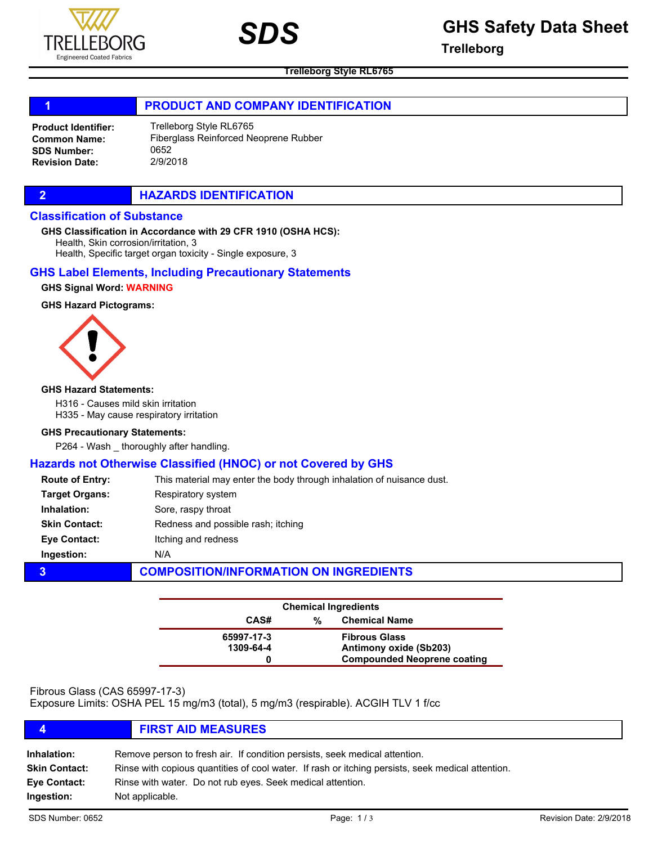



# *SDS* **GHS Safety Data Sheet**

**Trelleborg**

**Trelleborg Style RL6765**

### 1 **PRODUCT AND COMPANY IDENTIFICATION**

Trelleborg Style RL6765 Fiberglass Reinforced Neoprene Rubber 0652 2/9/2018 Product Identifier: Common Name: SDS Number: Revision Date:

### **2 HAZARDS IDENTIFICATION**

#### Classification of Substance

GHS Classification in Accordance with 29 CFR 1910 (OSHA HCS):

Health, Skin corrosion/irritation, 3

Health, Specific target organ toxicity - Single exposure, 3

### GHS Label Elements, Including Precautionary Statements

GHS Signal Word: WARNING

#### GHS Hazard Pictograms:



#### GHS Hazard Statements:

H316 - Causes mild skin irritation

H335 - May cause respiratory irritation

#### GHS Precautionary Statements:

P264 - Wash \_ thoroughly after handling.

# Hazards not Otherwise Classified (HNOC) or not Covered by GHS

| <b>Route of Entry:</b> | This material may enter the body through inhalation of nuisance dust. |
|------------------------|-----------------------------------------------------------------------|
| <b>Target Organs:</b>  | Respiratory system                                                    |
| Inhalation:            | Sore, raspy throat                                                    |
| <b>Skin Contact:</b>   | Redness and possible rash; itching                                    |
| <b>Eve Contact:</b>    | Itching and redness                                                   |
| Ingestion:             | N/A                                                                   |
| 3                      | <b>COMPOSITION/INFORMATION ON INGREDIENTS</b>                         |

| <b>Chemical Ingredients</b> |                           |                                    |  |
|-----------------------------|---------------------------|------------------------------------|--|
| CAS#                        | <b>Chemical Name</b><br>% |                                    |  |
| 65997-17-3                  |                           | <b>Fibrous Glass</b>               |  |
| 1309-64-4                   |                           | Antimony oxide (Sb203)             |  |
|                             |                           | <b>Compounded Neoprene coating</b> |  |

# Fibrous Glass (CAS 65997-17-3)

Exposure Limits: OSHA PEL 15 mg/m3 (total), 5 mg/m3 (respirable). ACGIH TLV 1 f/cc

# 4 FIRST AID MEASURES

| Inhalation:          | Remove person to fresh air. If condition persists, seek medical attention.                        |
|----------------------|---------------------------------------------------------------------------------------------------|
| <b>Skin Contact:</b> | Rinse with copious quantities of cool water. If rash or itching persists, seek medical attention. |
| Eve Contact:         | Rinse with water. Do not rub eyes. Seek medical attention.                                        |
| Ingestion:           | Not applicable.                                                                                   |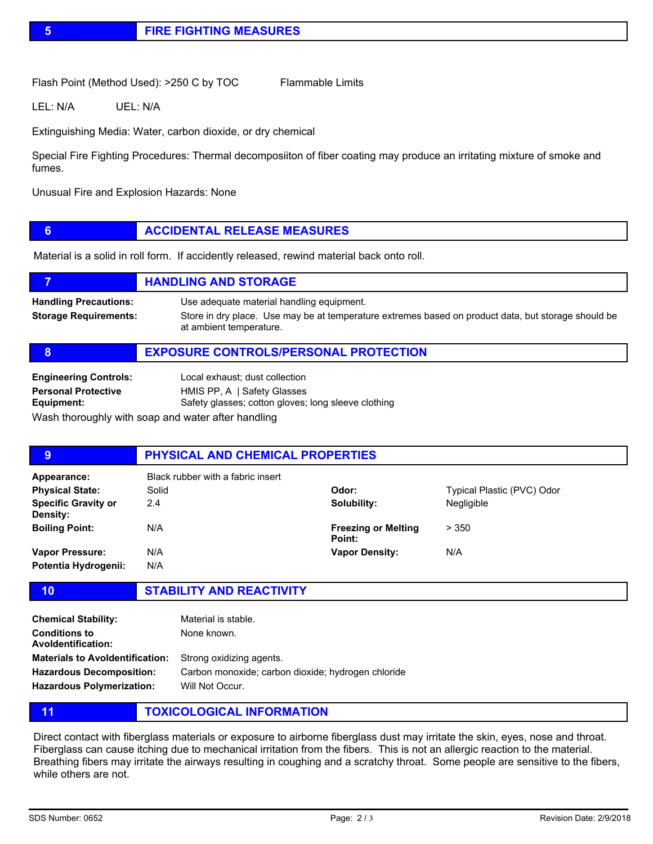Flash Point (Method Used): >250 C by TOC Flammable Limits

LEL: N/A UEL: N/A

Extinguishing Media: Water, carbon dioxide, or dry chemical

Special Fire Fighting Procedures: Thermal decomposiiton of fiber coating may produce an irritating mixture of smoke and fumes.

Unusual Fire and Explosion Hazards: None

# **6 ACCIDENTAL RELEASE MEASURES**

Material is a solid in roll form. If accidently released, rewind material back onto roll.

|                                                              | <b>HANDLING AND STORAGE</b>                                                                                                                                                 |
|--------------------------------------------------------------|-----------------------------------------------------------------------------------------------------------------------------------------------------------------------------|
| <b>Handling Precautions:</b><br><b>Storage Requirements:</b> | Use adequate material handling equipment.<br>Store in dry place. Use may be at temperature extremes based on product data, but storage should be<br>at ambient temperature. |
|                                                              | <b>EXPOSURE CONTROLS/PERSONAL PROTECTION</b>                                                                                                                                |

| <b>Engineering Controls:</b>                       | Local exhaust; dust collection                      |
|----------------------------------------------------|-----------------------------------------------------|
| <b>Personal Protective</b>                         | HMIS PP, A   Safety Glasses                         |
| Equipment:                                         | Safety glasses; cotton gloves; long sleeve clothing |
| Wash thoroughly with soap and water after handling |                                                     |

| 9                                      | PHYSICAL AND CHEMICAL PROPERTIES  |                                      |                            |  |
|----------------------------------------|-----------------------------------|--------------------------------------|----------------------------|--|
| Appearance:                            | Black rubber with a fabric insert |                                      |                            |  |
| <b>Physical State:</b>                 | Solid                             | Odor:                                | Typical Plastic (PVC) Odor |  |
| <b>Specific Gravity or</b><br>Density: | 2.4                               | Solubility:                          | Negligible                 |  |
| <b>Boiling Point:</b>                  | N/A                               | <b>Freezing or Melting</b><br>Point: | > 350                      |  |
| <b>Vapor Pressure:</b>                 | N/A                               | <b>Vapor Density:</b>                | N/A                        |  |
| Potentia Hydrogenii:                   | N/A                               |                                      |                            |  |

# 10 STABILITY AND REACTIVITY

| <b>Chemical Stability:</b>             | Material is stable.                                |
|----------------------------------------|----------------------------------------------------|
| Conditions to<br>Avoldentification:    | None known.                                        |
| <b>Materials to Avoldentification:</b> | Strong oxidizing agents.                           |
| <b>Hazardous Decomposition:</b>        | Carbon monoxide; carbon dioxide; hydrogen chloride |
| <b>Hazardous Polymerization:</b>       | Will Not Occur.                                    |

11 **TOXICOLOGICAL INFORMATION** 

Direct contact with fiberglass materials or exposure to airborne fiberglass dust may irritate the skin, eyes, nose and throat. Fiberglass can cause itching due to mechanical irritation from the fibers. This is not an allergic reaction to the material. Breathing fibers may irritate the airways resulting in coughing and a scratchy throat. Some people are sensitive to the fibers, while others are not.